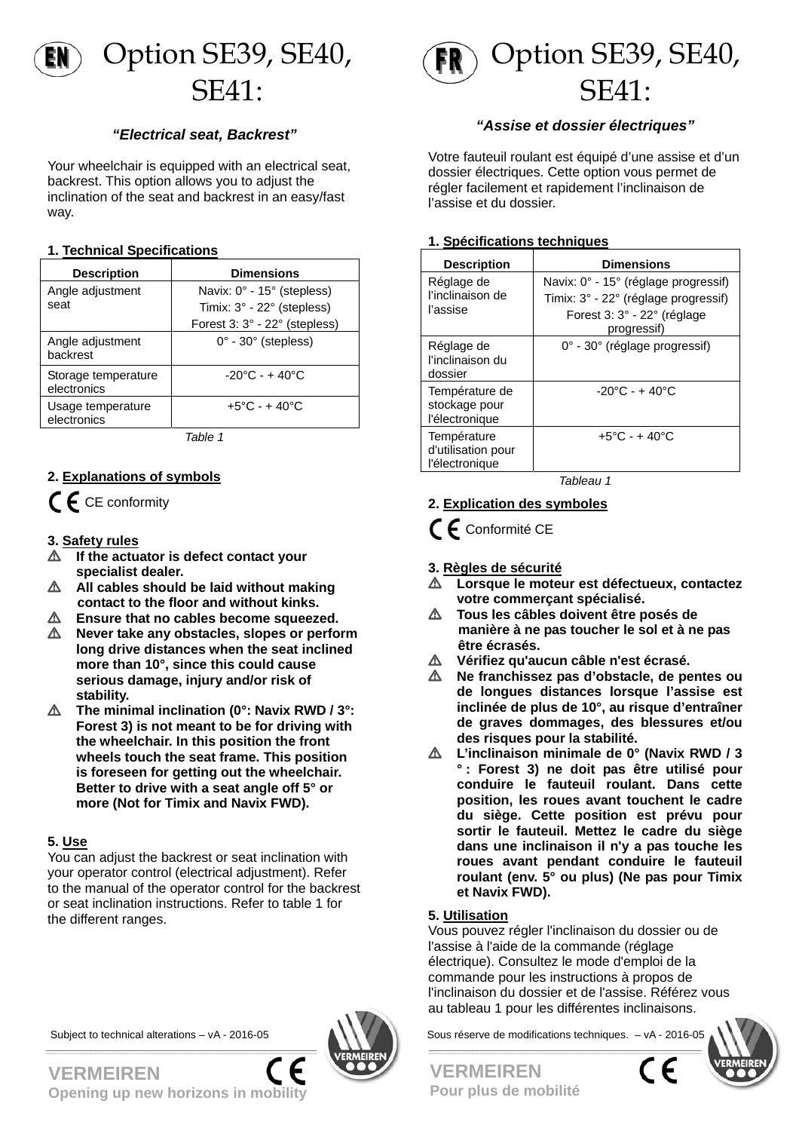

### *"Electrical seat, Backrest"*

Your wheelchair is equipped with an electrical seat, backrest. This option allows you to adjust the inclination of the seat and backrest in an easy/fast way.

#### **1. Technical Specifications**

| <b>Description</b>                 | <b>Dimensions</b>                   |
|------------------------------------|-------------------------------------|
| Angle adjustment                   | Navix: 0° - 15° (stepless)          |
| seat                               | Timix: 3° - 22° (stepless)          |
|                                    | Forest 3: 3° - 22° (stepless)       |
| Angle adjustment<br>backrest       | $0^\circ$ - 30 $^\circ$ (stepless)  |
| Storage temperature<br>electronics | $-20^{\circ}$ C - + 40 $^{\circ}$ C |
| Usage temperature<br>electronics   | $+5^{\circ}$ C - + 40 $^{\circ}$ C  |

*Table 1* 

### **2. Explanations of symbols**

 $\mathsf{\mathfrak{C}}\mathsf{\mathfrak{C}}$  CE conformity

#### **3. Safety rules**

- $\triangle$  If the actuator is defect contact your **specialist dealer.**
- $\triangle$  All cables should be laid without making  **contact to the floor and without kinks.**
- **Ensure that no cables become squeezed.**
- L **Never take any obstacles, slopes or perform long drive distances when the seat inclined more than 10°, since this could cause serious damage, injury and/or risk of stability.**
- L **The minimal inclination (0°: Navix RWD / 3°: Forest 3) is not meant to be for driving with the wheelchair. In this position the front wheels touch the seat frame. This position is foreseen for getting out the wheelchair. Better to drive with a seat angle off 5° or more (Not for Timix and Navix FWD).**

#### **5. Use**

You can adjust the backrest or seat inclination with your operator control (electrical adjustment). Refer to the manual of the operator control for the backrest or seat inclination instructions. Refer to table 1 for the different ranges.



Option SE39, SE40, SE41:

### *"Assise et dossier électriques"*

Votre fauteuil roulant est équipé d'une assise et d'un dossier électriques. Cette option vous permet de régler facilement et rapidement l'inclinaison de l'assise et du dossier.

#### **1. Spécifications techniques**

| <b>Description</b>                                  | <b>Dimensions</b>                                                                                                          |
|-----------------------------------------------------|----------------------------------------------------------------------------------------------------------------------------|
| Réglage de<br>l'inclinaison de<br>l'assise          | Navix: 0° - 15° (réglage progressif)<br>Timix: 3° - 22° (réglage progressif)<br>Forest 3: 3° - 22° (réglage<br>progressif) |
| Réglage de<br>l'inclinaison du<br>dossier           | $0^{\circ}$ - 30 $^{\circ}$ (réglage progressif)                                                                           |
| Température de<br>stockage pour<br>l'électronique   | $-20^{\circ}$ C - + 40 $^{\circ}$ C                                                                                        |
| Température<br>d'utilisation pour<br>l'électronique | $+5^{\circ}$ C - + 40 $^{\circ}$ C                                                                                         |

*Tableau 1* 

### **2. Explication des symboles**

 $\epsilon$  Conformité CE

**3. Règles de sécurité**

- L **Lorsque le moteur est défectueux, contactez votre commerçant spécialisé.**
- $\triangle$  Tous les câbles doivent être posés de  **manière à ne pas toucher le sol et à ne pas être écrasés.**
- L **Vérifiez qu'aucun câble n'est écrasé.**
- L **Ne franchissez pas d'obstacle, de pentes ou de longues distances lorsque l'assise est inclinée de plus de 10°, au risque d'entraîner de graves dommages, des blessures et/ou des risques pour la stabilité.**
- L **L'inclinaison minimale de 0° (Navix RWD / 3 ° : Forest 3) ne doit pas être utilisé pour conduire le fauteuil roulant. Dans cette position, les roues avant touchent le cadre du siège. Cette position est prévu pour sortir le fauteuil. Mettez le cadre du siège dans une inclinaison il n'y a pas touche les roues avant pendant conduire le fauteuil roulant (env. 5° ou plus) (Ne pas pour Timix et Navix FWD).**

#### **5. Utilisation**

Vous pouvez régler l'inclinaison du dossier ou de l'assise à l'aide de la commande (réglage électrique). Consultez le mode d'emploi de la commande pour les instructions à propos de l'inclinaison du dossier et de l'assise. Référez vous au tableau 1 pour les différentes inclinaisons.

Subject to technical alterations – vA - 2016-05



**VERMEIREN Opening up new horizons in mobility** 

**VERMEIREN Pour plus de mobilité**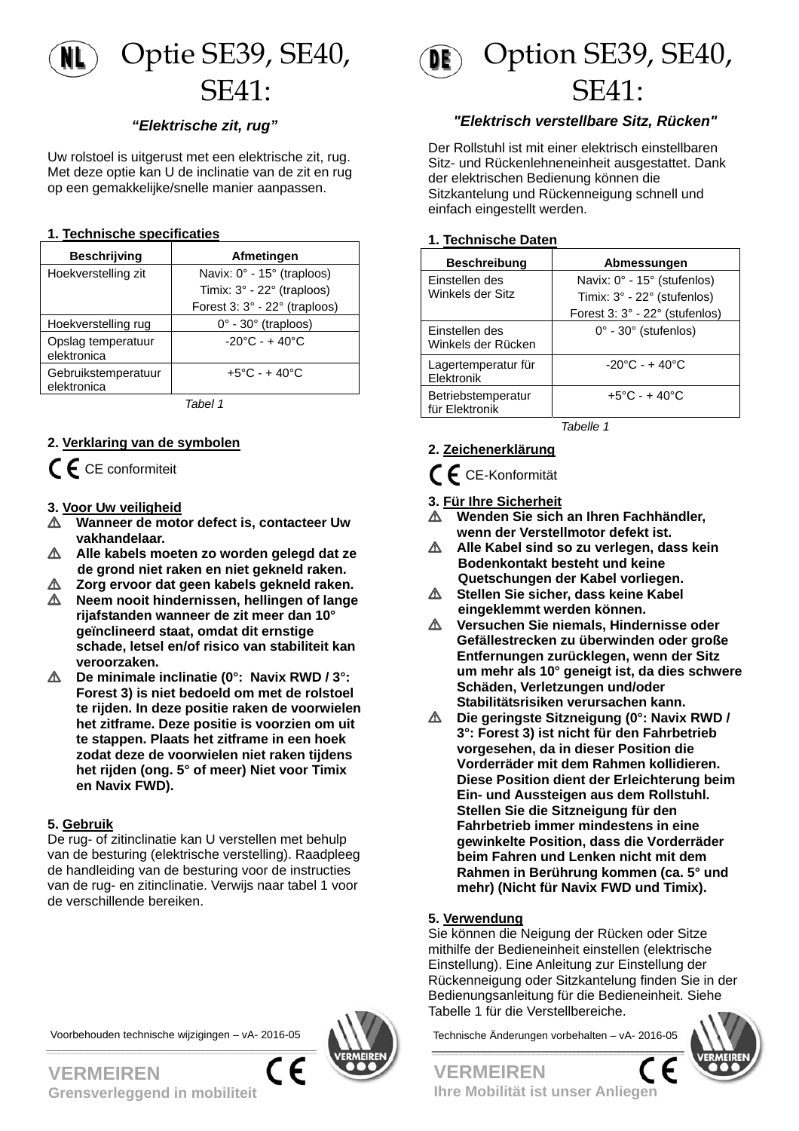

### *"Elektrische zit, rug"*

Uw rolstoel is uitgerust met een elektrische zit, rug. Met deze optie kan U de inclinatie van de zit en rug op een gemakkelijke/snelle manier aanpassen.

#### **1. Technische specificaties**

| <b>Beschrijving</b>                | Afmetingen                                |
|------------------------------------|-------------------------------------------|
| Hoekverstelling zit                | Navix: 0° - 15° (traploos)                |
|                                    | Timix: $3^\circ$ - 22 $^\circ$ (traploos) |
|                                    | Forest 3: 3° - 22° (traploos)             |
| Hoekverstelling rug                | $0^\circ$ - 30 $^\circ$ (traploos)        |
| Opslag temperatuur<br>elektronica  | $-20^{\circ}$ C - + 40 $^{\circ}$ C       |
| Gebruikstemperatuur<br>elektronica | $+5^{\circ}$ C - + 40 $^{\circ}$ C        |

*Tabel 1* 

#### **2. Verklaring van de symbolen**

 $\mathsf{\Gamma}\mathsf{F}$  CE conformiteit

#### **3. Voor Uw veiligheid**

- L **Wanneer de motor defect is, contacteer Uw vakhandelaar.**
- L **Alle kabels moeten zo worden gelegd dat ze de grond niet raken en niet gekneld raken.**
- L **Zorg ervoor dat geen kabels gekneld raken.**  L **Neem nooit hindernissen, hellingen of lange rijafstanden wanneer de zit meer dan 10° geïnclineerd staat, omdat dit ernstige schade, letsel en/of risico van stabiliteit kan veroorzaken.**
- L **De minimale inclinatie (0°: Navix RWD / 3°: Forest 3) is niet bedoeld om met de rolstoel te rijden. In deze positie raken de voorwielen het zitframe. Deze positie is voorzien om uit te stappen. Plaats het zitframe in een hoek zodat deze de voorwielen niet raken tijdens het rijden (ong. 5° of meer) Niet voor Timix en Navix FWD).**

#### **5. Gebruik**

De rug- of zitinclinatie kan U verstellen met behulp van de besturing (elektrische verstelling). Raadpleeg de handleiding van de besturing voor de instructies van de rug- en zitinclinatie. Verwijs naar tabel 1 voor de verschillende bereiken.







#### *"Elektrisch verstellbare Sitz, Rücken"*

Der Rollstuhl ist mit einer elektrisch einstellbaren Sitz- und Rückenlehneneinheit ausgestattet. Dank der elektrischen Bedienung können die Sitzkantelung und Rückenneigung schnell und einfach eingestellt werden.

#### **1. Technische Daten**

| <b>Beschreibung</b>                  | Abmessungen                         |
|--------------------------------------|-------------------------------------|
| Einstellen des                       | Navix: 0° - 15° (stufenlos)         |
| Winkels der Sitz                     | Timix: 3° - 22° (stufenlos)         |
|                                      | Forest 3: 3° - 22° (stufenlos)      |
| Einstellen des<br>Winkels der Rücken | $0^\circ$ - 30 $^\circ$ (stufenlos) |
| Lagertemperatur für<br>Elektronik    | $-20^{\circ}$ C - + 40 $^{\circ}$ C |
| Betriebstemperatur<br>für Elektronik | $+5^{\circ}$ C - + 40 $^{\circ}$ C  |

*Tabelle 1* 

#### **2. Zeichenerklärung**

# CE-Konformität

#### **3. Für Ihre Sicherheit**

- L **Wenden Sie sich an Ihren Fachhändler, wenn der Verstellmotor defekt ist.**
- $\triangle$  Alle Kabel sind so zu verlegen, dass kein  **Bodenkontakt besteht und keine Quetschungen der Kabel vorliegen.**
- L **Stellen Sie sicher, dass keine Kabel eingeklemmt werden können.**
- L **Versuchen Sie niemals, Hindernisse oder Gefällestrecken zu überwinden oder große Entfernungen zurücklegen, wenn der Sitz um mehr als 10° geneigt ist, da dies schwere Schäden, Verletzungen und/oder Stabilitätsrisiken verursachen kann.**
- L **Die geringste Sitzneigung (0°: Navix RWD / 3°: Forest 3) ist nicht für den Fahrbetrieb vorgesehen, da in dieser Position die Vorderräder mit dem Rahmen kollidieren. Diese Position dient der Erleichterung beim Ein- und Aussteigen aus dem Rollstuhl. Stellen Sie die Sitzneigung für den Fahrbetrieb immer mindestens in eine gewinkelte Position, dass die Vorderräder beim Fahren und Lenken nicht mit dem Rahmen in Berührung kommen (ca. 5° und mehr) (Nicht für Navix FWD und Timix).**

#### **5. Verwendung**

Sie können die Neigung der Rücken oder Sitze mithilfe der Bedieneinheit einstellen (elektrische Einstellung). Eine Anleitung zur Einstellung der Rückenneigung oder Sitzkantelung finden Sie in der Bedienungsanleitung für die Bedieneinheit. Siehe Tabelle 1 für die Verstellbereiche.



**VERMEIREN Ihre Mobilität ist unser Anliegen** 

**VERMEIREN Grensverleggend in mobiliteit**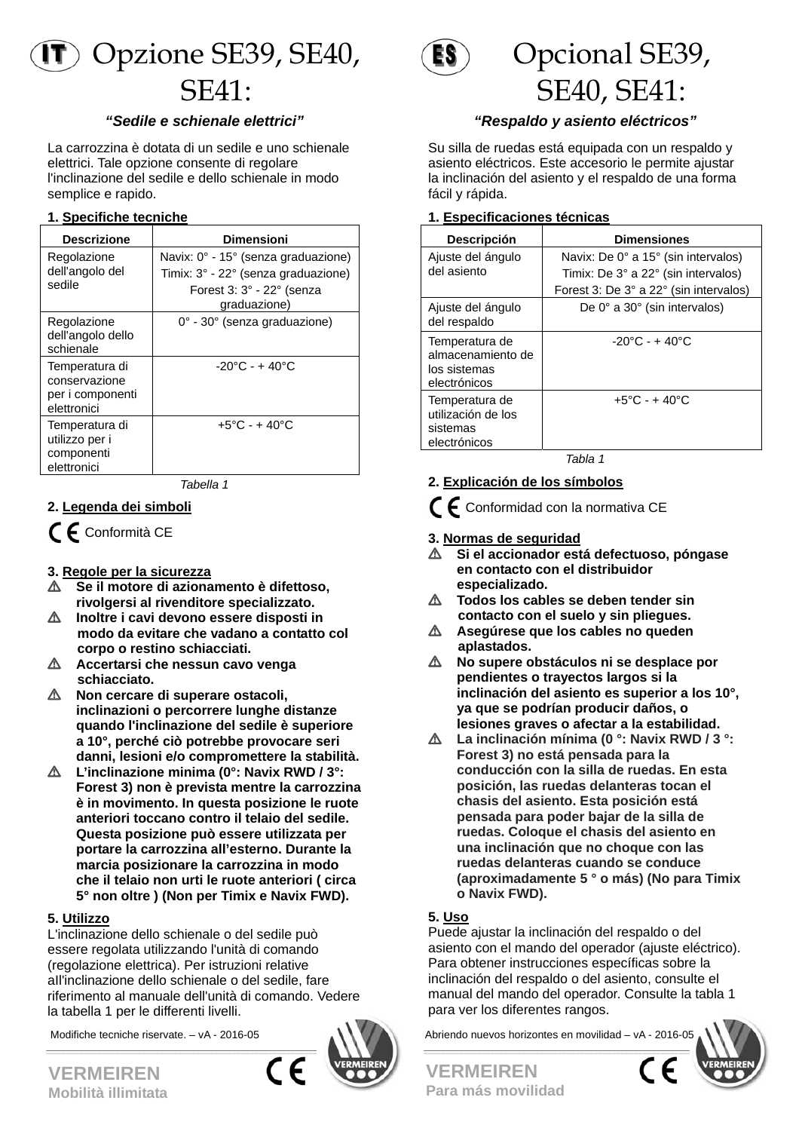

#### *"Sedile e schienale elettrici"*

La carrozzina è dotata di un sedile e uno schienale elettrici. Tale opzione consente di regolare l'inclinazione del sedile e dello schienale in modo semplice e rapido.

#### **1. Specifiche tecniche**

| <b>Descrizione</b>                                                 | Dimensioni                                                                                                                             |
|--------------------------------------------------------------------|----------------------------------------------------------------------------------------------------------------------------------------|
| Regolazione<br>dell'angolo del<br>sedile                           | Navix: $0^\circ$ - 15 $^\circ$ (senza graduazione)<br>Timix: 3° - 22° (senza graduazione)<br>Forest 3: 3° - 22° (senza<br>graduazione) |
| Regolazione<br>dell'angolo dello<br>schienale                      | $0^\circ$ - 30 $^\circ$ (senza graduazione)                                                                                            |
| Temperatura di<br>conservazione<br>per i componenti<br>elettronici | $-20^{\circ}$ C - + 40 $^{\circ}$ C                                                                                                    |
| Temperatura di<br>utilizzo per i<br>componenti<br>elettronici      | $+5^{\circ}$ C - + 40 $^{\circ}$ C                                                                                                     |

*Tabella 1* 

#### **2. Legenda dei simboli**

 $\epsilon$  Conformità CE

#### **3. Regole per la sicurezza**

- L **Se il motore di azionamento è difettoso, rivolgersi al rivenditore specializzato.**
- L **Inoltre i cavi devono essere disposti in modo da evitare che vadano a contatto col corpo o restino schiacciati.**
- L **Accertarsi che nessun cavo venga schiacciato.**
- L **Non cercare di superare ostacoli, inclinazioni o percorrere lunghe distanze quando l'inclinazione del sedile è superiore a 10°, perché ciò potrebbe provocare seri danni, lesioni e/o compromettere la stabilità.**
- L **L'inclinazione minima (0°: Navix RWD / 3°: Forest 3) non è prevista mentre la carrozzina è in movimento. In questa posizione le ruote anteriori toccano contro il telaio del sedile. Questa posizione può essere utilizzata per portare la carrozzina all'esterno. Durante la marcia posizionare la carrozzina in modo che il telaio non urti le ruote anteriori ( circa 5° non oltre ) (Non per Timix e Navix FWD).**

#### **5. Utilizzo**

L'inclinazione dello schienale o del sedile può essere regolata utilizzando l'unità di comando (regolazione elettrica). Per istruzioni relative aIl'inclinazione dello schienale o del sedile, fare riferimento al manuale dell'unità di comando. Vedere la tabella 1 per le differenti livelli.





# Opcional SE39, SE40, SE41:

### *"Respaldo y asiento eléctricos"*

Su silla de ruedas está equipada con un respaldo y asiento eléctricos. Este accesorio le permite ajustar la inclinación del asiento y el respaldo de una forma fácil y rápida.

#### **1. Especificaciones técnicas**

| Descripción                                                         | <b>Dimensiones</b>                                     |
|---------------------------------------------------------------------|--------------------------------------------------------|
| Ajuste del ángulo                                                   | Navix: De $0^{\circ}$ a 15 $^{\circ}$ (sin intervalos) |
| del asiento                                                         | Timix: De 3° a 22° (sin intervalos)                    |
|                                                                     | Forest 3: De 3° a 22° (sin intervalos)                 |
| Ajuste del ángulo<br>del respaldo                                   | De $0^\circ$ a $30^\circ$ (sin intervalos)             |
| Temperatura de<br>almacenamiento de<br>los sistemas<br>electrónicos | $-20^{\circ}$ C - + 40 $^{\circ}$ C                    |
| Temperatura de<br>utilización de los<br>sistemas<br>electrónicos    | $+5^{\circ}$ C - + 40 $^{\circ}$ C                     |

*Tabla 1* 

- **2. Explicación de los símbolos**
- $C \epsilon$  Conformidad con la normativa CE
- **3. Normas de seguridad**
- L **Si el accionador está defectuoso, póngase en contacto con el distribuidor especializado.**
- $\triangle$  Todos los cables se deben tender sin  **contacto con el suelo y sin pliegues.**
- L **Asegúrese que los cables no queden aplastados.**
- L **No supere obstáculos ni se desplace por pendientes o trayectos largos si la inclinación del asiento es superior a los 10°, ya que se podrían producir daños, o lesiones graves o afectar a la estabilidad.**
- L **La inclinación mínima (0 °: Navix RWD / 3 °: Forest 3) no está pensada para la conducción con la silla de ruedas. En esta posición, las ruedas delanteras tocan el chasis del asiento. Esta posición está pensada para poder bajar de la silla de ruedas. Coloque el chasis del asiento en una inclinación que no choque con las ruedas delanteras cuando se conduce (aproximadamente 5 ° o más) (No para Timix o Navix FWD).**

### **5. Uso**

Puede ajustar la inclinación del respaldo o del asiento con el mando del operador (ajuste eléctrico). Para obtener instrucciones específicas sobre la inclinación del respaldo o del asiento, consulte el manual del mando del operador. Consulte la tabla 1 para ver los diferentes rangos.

Modifiche tecniche riservate. – vA - 2016-05 Abriendo nuevos horizontes en movilidad – vA - 2016-05





**VERMEIREN Mobilità illimitata**